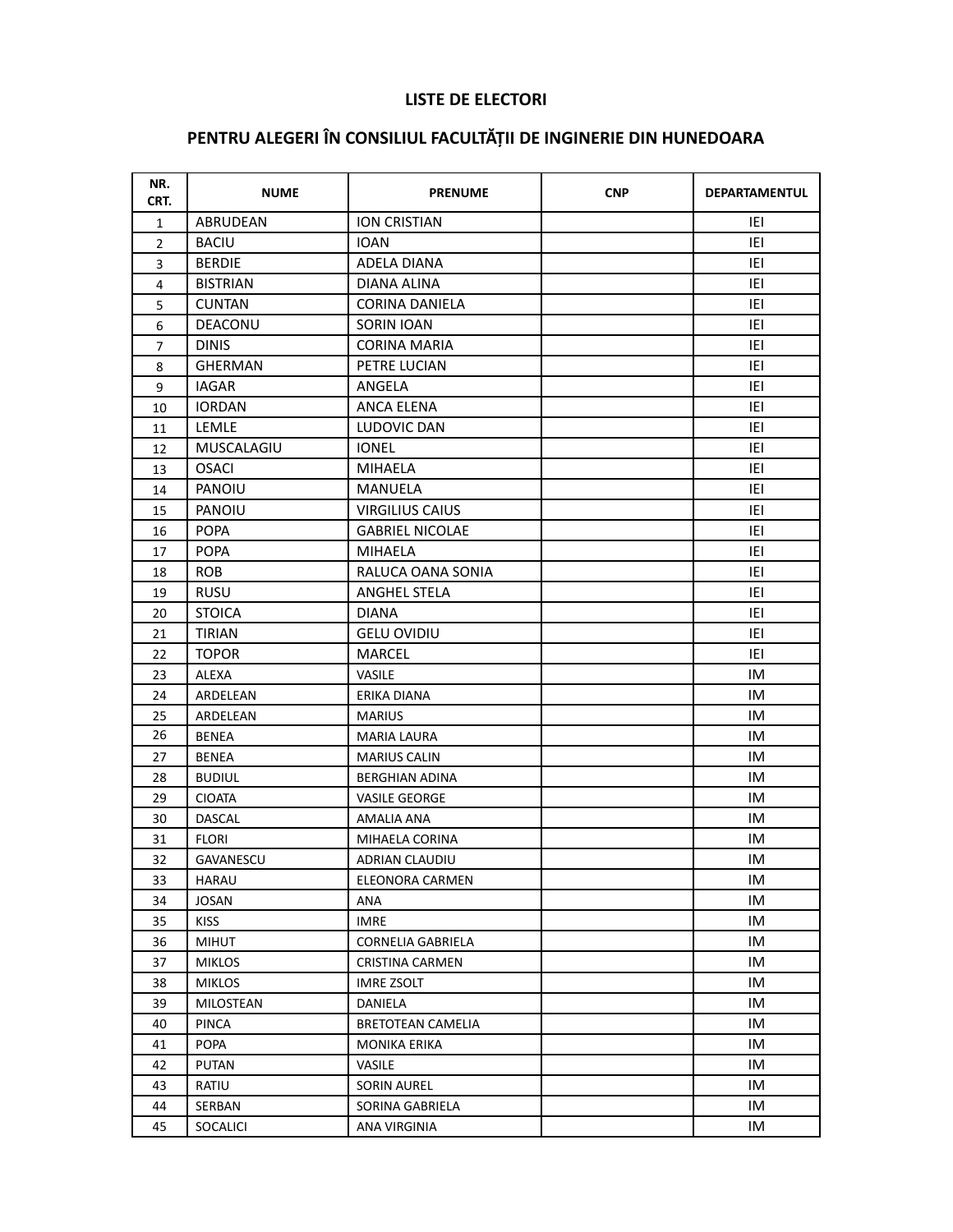## **LISTE DE ELECTORI**

## PENTRU ALEGERI ÎN CONSILIUL FACULTĂȚII DE INGINERIE DIN HUNEDOARA

| NR.<br>CRT.    | <b>NUME</b>     | <b>PRENUME</b>           | <b>CNP</b> | <b>DEPARTAMENTUL</b> |
|----------------|-----------------|--------------------------|------------|----------------------|
| $\mathbf{1}$   | ABRUDEAN        | <b>ION CRISTIAN</b>      |            | IEI                  |
| $\overline{2}$ | <b>BACIU</b>    | <b>IOAN</b>              |            | IEI                  |
| 3              | <b>BERDIE</b>   | ADELA DIANA              |            | IEI                  |
| 4              | <b>BISTRIAN</b> | DIANA ALINA              |            | iei                  |
| 5              | <b>CUNTAN</b>   | CORINA DANIELA           |            | IEI                  |
| 6              | DEACONU         | SORIN IOAN               |            | IEI                  |
| 7              | <b>DINIS</b>    | <b>CORINA MARIA</b>      |            | IEI                  |
| 8              | <b>GHERMAN</b>  | PETRE LUCIAN             |            | IEI                  |
| 9              | IAGAR           | ANGELA                   |            | iei                  |
| 10             | <b>IORDAN</b>   | ANCA ELENA               |            | IEI                  |
| 11             | LEMLE           | LUDOVIC DAN              |            | IEI                  |
| 12             | MUSCALAGIU      | <b>IONEL</b>             |            | IEI                  |
| 13             | <b>OSACI</b>    | <b>MIHAELA</b>           |            | IEI                  |
| 14             | PANOIU          | MANUELA                  |            | iei                  |
| 15             | PANOIU          | <b>VIRGILIUS CAIUS</b>   |            | IEI                  |
| 16             | <b>POPA</b>     | <b>GABRIEL NICOLAE</b>   |            | IEI                  |
| 17             | <b>POPA</b>     | <b>MIHAELA</b>           |            | IEI                  |
| 18             | <b>ROB</b>      | RALUCA OANA SONIA        |            | IEI                  |
| 19             | RUSU            | ANGHEL STELA             |            | iei                  |
| 20             | <b>STOICA</b>   | <b>DIANA</b>             |            | IEI                  |
| 21             | <b>TIRIAN</b>   | <b>GELU OVIDIU</b>       |            | IEI                  |
| 22             | <b>TOPOR</b>    | MARCEL                   |            | IEI                  |
| 23             | ALEXA           | <b>VASILE</b>            |            | IM                   |
| 24             | ARDELEAN        | ERIKA DIANA              |            | IM                   |
| 25             | ARDELEAN        | <b>MARIUS</b>            |            | IM                   |
| 26             | <b>BENEA</b>    | <b>MARIA LAURA</b>       |            | IM                   |
| 27             | <b>BENEA</b>    | <b>MARIUS CALIN</b>      |            | IM                   |
| 28             | <b>BUDIUL</b>   | <b>BERGHIAN ADINA</b>    |            | IM                   |
| 29             | <b>CIOATA</b>   | <b>VASILE GEORGE</b>     |            | IM                   |
| 30             | <b>DASCAL</b>   | AMALIA ANA               |            | IM                   |
| 31             | FLORI           | MIHAELA CORINA           |            | IM                   |
| 32             | GAVANESCU       | ADRIAN CLAUDIU           |            | IM                   |
| 33             | <b>HARAU</b>    | ELEONORA CARMEN          |            | IM                   |
| 34             | <b>JOSAN</b>    | ANA                      |            | IM                   |
| 35             | <b>KISS</b>     | <b>IMRE</b>              |            | IM                   |
| 36             | <b>MIHUT</b>    | CORNELIA GABRIELA        |            | IM                   |
| 37             | <b>MIKLOS</b>   | <b>CRISTINA CARMEN</b>   |            | IM                   |
| 38             | <b>MIKLOS</b>   | <b>IMRE ZSOLT</b>        |            | IM                   |
| 39             | MILOSTEAN       | DANIELA                  |            | IM                   |
| 40             | <b>PINCA</b>    | <b>BRETOTEAN CAMELIA</b> |            | IM                   |
| 41             | POPA            | <b>MONIKA ERIKA</b>      |            | IM                   |
| 42             | <b>PUTAN</b>    | VASILE                   |            | IM                   |
| 43             | RATIU           | SORIN AUREL              |            | IM                   |
| 44             | SERBAN          | SORINA GABRIELA          |            | IM                   |
| 45             | <b>SOCALICI</b> | ANA VIRGINIA             |            | IM                   |